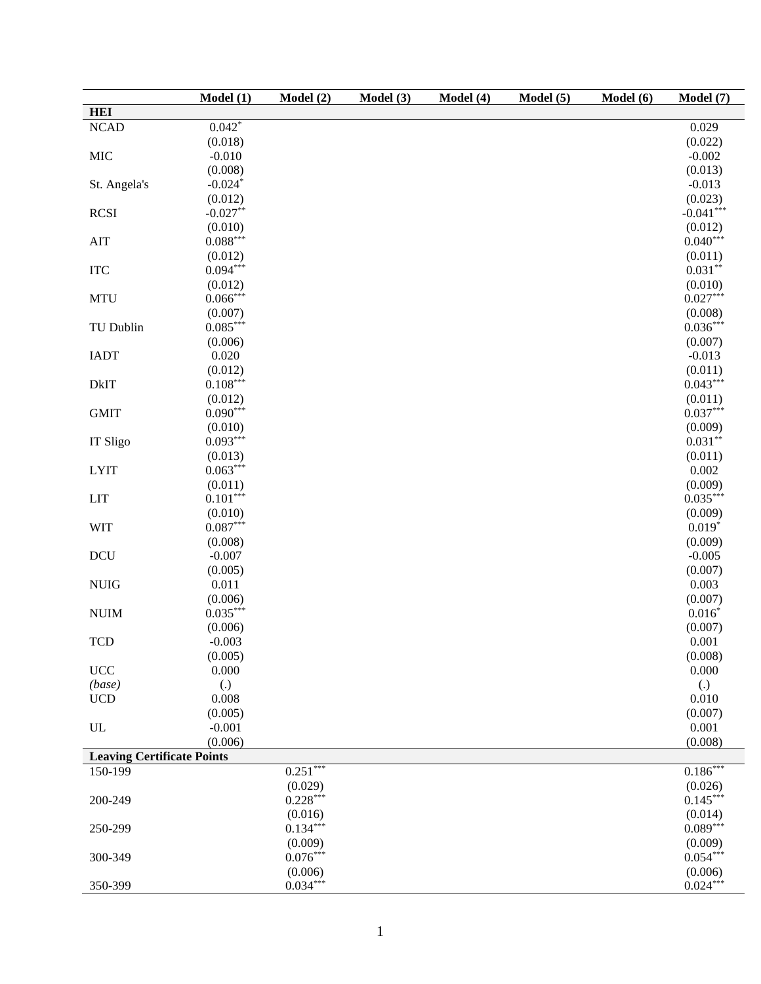|                                   | Model (1)  | Model (2)  | Model (3) | Model (4) | Model (5) | Model (6) | Model (7)         |
|-----------------------------------|------------|------------|-----------|-----------|-----------|-----------|-------------------|
| <b>HEI</b>                        |            |            |           |           |           |           |                   |
| NCAD                              | $0.042*$   |            |           |           |           |           | 0.029             |
|                                   | (0.018)    |            |           |           |           |           | (0.022)           |
| <b>MIC</b>                        | $-0.010$   |            |           |           |           |           | $-0.002$          |
|                                   | (0.008)    |            |           |           |           |           | (0.013)           |
| St. Angela's                      | $-0.024*$  |            |           |           |           |           | $-0.013$          |
|                                   | (0.012)    |            |           |           |           |           | (0.023)           |
| <b>RCSI</b>                       | $-0.027**$ |            |           |           |           |           | $-0.041***$       |
|                                   | (0.010)    |            |           |           |           |           | (0.012)           |
| AIT                               | $0.088***$ |            |           |           |           |           | $0.040***$        |
|                                   | (0.012)    |            |           |           |           |           | (0.011)           |
| <b>ITC</b>                        | $0.094***$ |            |           |           |           |           | $0.031***$        |
|                                   | (0.012)    |            |           |           |           |           | (0.010)           |
| <b>MTU</b>                        | $0.066***$ |            |           |           |           |           | $0.027***$        |
|                                   | (0.007)    |            |           |           |           |           | (0.008)           |
| TU Dublin                         | $0.085***$ |            |           |           |           |           | $0.036***$        |
|                                   | (0.006)    |            |           |           |           |           | (0.007)           |
| <b>IADT</b>                       | 0.020      |            |           |           |           |           | $-0.013$          |
|                                   | (0.012)    |            |           |           |           |           | (0.011)           |
| <b>DkIT</b>                       | $0.108***$ |            |           |           |           |           | $0.043***$        |
|                                   | (0.012)    |            |           |           |           |           | (0.011)           |
| <b>GMIT</b>                       | $0.090***$ |            |           |           |           |           | $0.037***$        |
|                                   | (0.010)    |            |           |           |           |           | (0.009)           |
| IT Sligo                          | $0.093***$ |            |           |           |           |           | $0.031***$        |
|                                   | (0.013)    |            |           |           |           |           | (0.011)           |
| <b>LYIT</b>                       | $0.063***$ |            |           |           |           |           | 0.002             |
|                                   | (0.011)    |            |           |           |           |           | (0.009)           |
| <b>LIT</b>                        | $0.101***$ |            |           |           |           |           | $0.035***$        |
|                                   | (0.010)    |            |           |           |           |           | (0.009)           |
| <b>WIT</b>                        | $0.087***$ |            |           |           |           |           | $0.019*$          |
|                                   | (0.008)    |            |           |           |           |           | (0.009)           |
| <b>DCU</b>                        | $-0.007$   |            |           |           |           |           | $-0.005$          |
|                                   | (0.005)    |            |           |           |           |           | (0.007)           |
| <b>NUIG</b>                       | 0.011      |            |           |           |           |           | 0.003             |
|                                   | (0.006)    |            |           |           |           |           | (0.007)           |
| $\rm{NUIM}$                       | $0.035***$ |            |           |           |           |           | $0.016*$          |
|                                   | (0.006)    |            |           |           |           |           | (0.007)           |
| <b>TCD</b>                        | $-0.003$   |            |           |           |           |           | 0.001             |
|                                   | (0.005)    |            |           |           |           |           | (0.008)           |
| $\ensuremath{\mathsf{UCC}}$       | 0.000      |            |           |           |           |           | 0.000             |
| (base)                            | (.)        |            |           |           |           |           | $\left( .\right)$ |
| UCD                               | 0.008      |            |           |           |           |           | 0.010             |
|                                   | (0.005)    |            |           |           |           |           | (0.007)           |
| $\ensuremath{\text{UL}}$          | $-0.001$   |            |           |           |           |           | 0.001             |
|                                   | (0.006)    |            |           |           |           |           | (0.008)           |
| <b>Leaving Certificate Points</b> |            |            |           |           |           |           |                   |
| 150-199                           |            | $0.251***$ |           |           |           |           | $0.186***$        |
|                                   |            | (0.029)    |           |           |           |           | (0.026)           |
| 200-249                           |            | $0.228***$ |           |           |           |           | $0.145***$        |
|                                   |            | (0.016)    |           |           |           |           | (0.014)           |
| 250-299                           |            | $0.134***$ |           |           |           |           | $0.089***$        |
|                                   |            | (0.009)    |           |           |           |           | (0.009)           |
| 300-349                           |            | $0.076***$ |           |           |           |           | $0.054***$        |
|                                   |            | (0.006)    |           |           |           |           | (0.006)           |
| 350-399                           |            | $0.034***$ |           |           |           |           | $0.024***$        |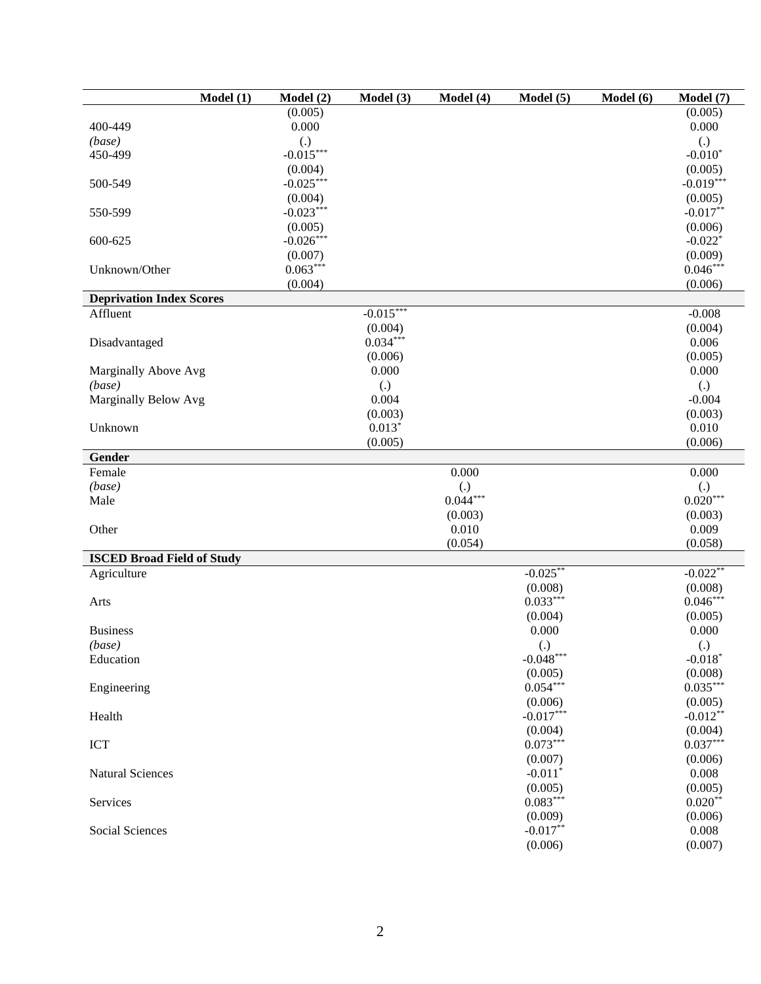| Model(1)                          | Model(2)          | Model (3)   | Model (4)         | Model (5)         | Model (6) | $\overline{\text{Model}}$ (7) |
|-----------------------------------|-------------------|-------------|-------------------|-------------------|-----------|-------------------------------|
|                                   | (0.005)           |             |                   |                   |           | (0.005)                       |
| 400-449                           | 0.000             |             |                   |                   |           | 0.000                         |
| (base)                            | $\left( .\right)$ |             |                   |                   |           | $\left( .\right)$             |
| 450-499                           | $-0.015***$       |             |                   |                   |           | $-0.010*$                     |
|                                   | (0.004)           |             |                   |                   |           | (0.005)                       |
| 500-549                           | $-0.025***$       |             |                   |                   |           | $-0.019***$                   |
|                                   | (0.004)           |             |                   |                   |           | (0.005)                       |
| 550-599                           | $-0.023***$       |             |                   |                   |           | $-0.017**$                    |
|                                   | (0.005)           |             |                   |                   |           | (0.006)                       |
| 600-625                           | $-0.026***$       |             |                   |                   |           | $-0.022*$                     |
|                                   | (0.007)           |             |                   |                   |           | (0.009)                       |
| Unknown/Other                     | $0.063***$        |             |                   |                   |           | $0.046***$                    |
|                                   | (0.004)           |             |                   |                   |           | (0.006)                       |
| <b>Deprivation Index Scores</b>   |                   |             |                   |                   |           |                               |
| Affluent                          |                   | $-0.015***$ |                   |                   |           | $-0.008$                      |
|                                   |                   | (0.004)     |                   |                   |           | (0.004)                       |
| Disadvantaged                     |                   | $0.034***$  |                   |                   |           | 0.006                         |
|                                   |                   | (0.006)     |                   |                   |           | (0.005)                       |
| Marginally Above Avg              |                   | 0.000       |                   |                   |           | 0.000                         |
| (base)                            |                   | (.)         |                   |                   |           | (.)                           |
| Marginally Below Avg              |                   | 0.004       |                   |                   |           | $-0.004$                      |
|                                   |                   | (0.003)     |                   |                   |           | (0.003)                       |
| Unknown                           |                   | $0.013*$    |                   |                   |           | 0.010                         |
|                                   |                   | (0.005)     |                   |                   |           | (0.006)                       |
| Gender                            |                   |             |                   |                   |           |                               |
| Female                            |                   |             | 0.000             |                   |           | 0.000                         |
| (base)                            |                   |             | $\left( .\right)$ |                   |           | $\left( .\right)$             |
| Male                              |                   |             | $0.044***$        |                   |           | $0.020***$                    |
|                                   |                   |             | (0.003)           |                   |           | (0.003)                       |
| Other                             |                   |             | 0.010             |                   |           | 0.009                         |
|                                   |                   |             | (0.054)           |                   |           | (0.058)                       |
| <b>ISCED Broad Field of Study</b> |                   |             |                   |                   |           |                               |
| Agriculture                       |                   |             |                   | $-0.025***$       |           | $-0.022$ **                   |
|                                   |                   |             |                   | (0.008)           |           | (0.008)                       |
| Arts                              |                   |             |                   | $0.033***$        |           | $0.046***$                    |
|                                   |                   |             |                   | (0.004)           |           | (0.005)                       |
| <b>Business</b>                   |                   |             |                   | 0.000             |           | 0.000                         |
| (base)                            |                   |             |                   | $\left( .\right)$ |           | $\left( .\right)$             |
| Education                         |                   |             |                   | $-0.048***$       |           | $\textbf{-0.018}^{\ast}$      |
|                                   |                   |             |                   | (0.005)           |           | (0.008)                       |
| Engineering                       |                   |             |                   | $0.054***$        |           | $0.035***$                    |
|                                   |                   |             |                   | (0.006)           |           | (0.005)                       |
| Health                            |                   |             |                   | $-0.017***$       |           | $-0.012**$                    |
|                                   |                   |             |                   | (0.004)           |           | (0.004)                       |
| <b>ICT</b>                        |                   |             |                   | $0.073***$        |           | $0.037***$                    |
|                                   |                   |             |                   | (0.007)           |           | (0.006)                       |
| <b>Natural Sciences</b>           |                   |             |                   | $-0.011*$         |           | 0.008                         |
|                                   |                   |             |                   | (0.005)           |           | (0.005)                       |
| Services                          |                   |             |                   | $0.083***$        |           | $0.020**$                     |
|                                   |                   |             |                   | (0.009)           |           | (0.006)                       |
| Social Sciences                   |                   |             |                   | $-0.017**$        |           | 0.008                         |
|                                   |                   |             |                   | (0.006)           |           | (0.007)                       |